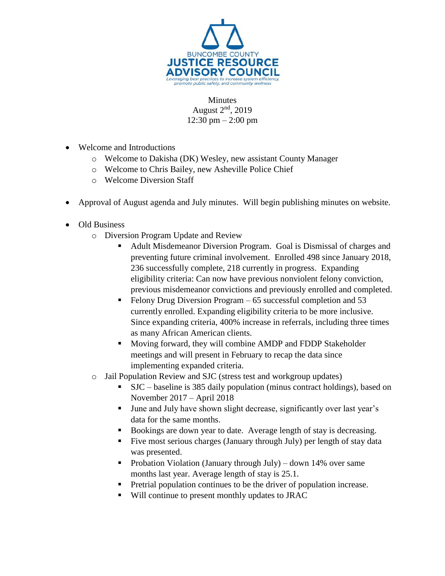

**Minutes** August 2<sup>nd</sup>, 2019  $12:30 \text{ pm} - 2:00 \text{ pm}$ 

- Welcome and Introductions
	- o Welcome to Dakisha (DK) Wesley, new assistant County Manager
	- o Welcome to Chris Bailey, new Asheville Police Chief
	- o Welcome Diversion Staff
- Approval of August agenda and July minutes. Will begin publishing minutes on website.
- Old Business
	- o Diversion Program Update and Review
		- Adult Misdemeanor Diversion Program. Goal is Dismissal of charges and preventing future criminal involvement. Enrolled 498 since January 2018, 236 successfully complete, 218 currently in progress. Expanding eligibility criteria: Can now have previous nonviolent felony conviction, previous misdemeanor convictions and previously enrolled and completed.
		- Felony Drug Diversion Program 65 successful completion and 53 currently enrolled. Expanding eligibility criteria to be more inclusive. Since expanding criteria, 400% increase in referrals, including three times as many African American clients.
		- Moving forward, they will combine AMDP and FDDP Stakeholder meetings and will present in February to recap the data since implementing expanded criteria.
	- o Jail Population Review and SJC (stress test and workgroup updates)
		- SJC baseline is 385 daily population (minus contract holdings), based on November 2017 – April 2018
		- June and July have shown slight decrease, significantly over last year's data for the same months.
		- Bookings are down year to date. Average length of stay is decreasing.
		- Five most serious charges (January through July) per length of stay data was presented.
		- **Probation Violation (January through July)** down 14% over same months last year. Average length of stay is 25.1.
		- Pretrial population continues to be the driver of population increase.
		- Will continue to present monthly updates to JRAC